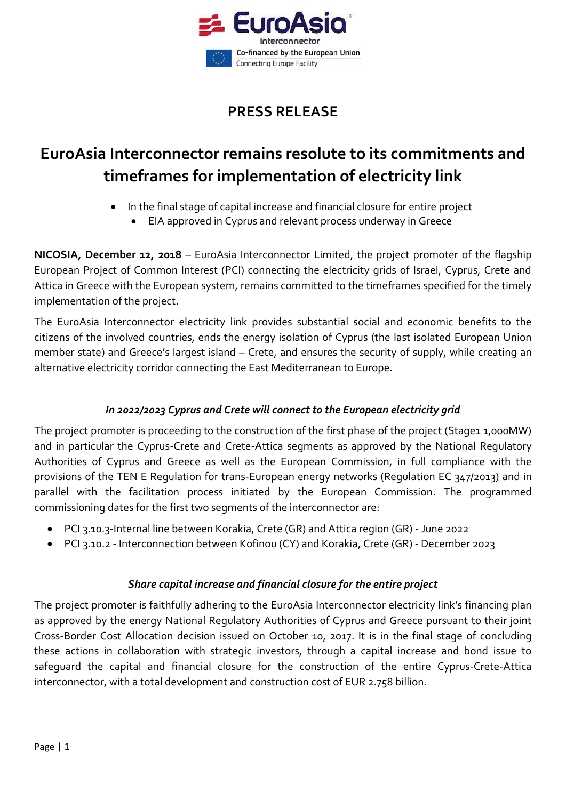

# **PRESS RELEASE**

# **EuroAsia Interconnector remains resolute to its commitments and timeframes for implementation of electricity link**

- In the final stage of capital increase and financial closure for entire project
	- EIA approved in Cyprus and relevant process underway in Greece

**NICOSIA, December 12, 2018** – EuroAsia Interconnector Limited, the project promoter of the flagship European Project of Common Interest (PCI) connecting the electricity grids of Israel, Cyprus, Crete and Attica in Greece with the European system, remains committed to the timeframes specified for the timely implementation of the project.

The EuroAsia Interconnector electricity link provides substantial social and economic benefits to the citizens of the involved countries, ends the energy isolation of Cyprus (the last isolated European Union member state) and Greece's largest island – Crete, and ensures the security of supply, while creating an alternative electricity corridor connecting the East Mediterranean to Europe.

## *In 2022/2023 Cyprus and Crete will connect to the European electricity grid*

The project promoter is proceeding to the construction of the first phase of the project (Stage1 1,000MW) and in particular the Cyprus-Crete and Crete-Attica segments as approved by the National Regulatory Authorities of Cyprus and Greece as well as the European Commission, in full compliance with the provisions of the TEN E Regulation for trans-European energy networks (Regulation EC 347/2013) and in parallel with the facilitation process initiated by the European Commission. The programmed commissioning dates for the first two segments of the interconnector are:

- PCI 3.10.3-Internal line between Korakia, Crete (GR) and Attica region (GR) June 2022
- PCI 3.10.2 Interconnection between Kofinou (CY) and Korakia, Crete (GR) December 2023

#### *Share capital increase and financial closure for the entire project*

The project promoter is faithfully adhering to the EuroAsia Interconnector electricity link's financing plan as approved by the energy National Regulatory Authorities of Cyprus and Greece pursuant to their joint Cross-Border Cost Allocation decision issued on October 10, 2017. It is in the final stage of concluding these actions in collaboration with strategic investors, through a capital increase and bond issue to safeguard the capital and financial closure for the construction of the entire Cyprus-Crete-Attica interconnector, with a total development and construction cost of EUR 2.758 billion.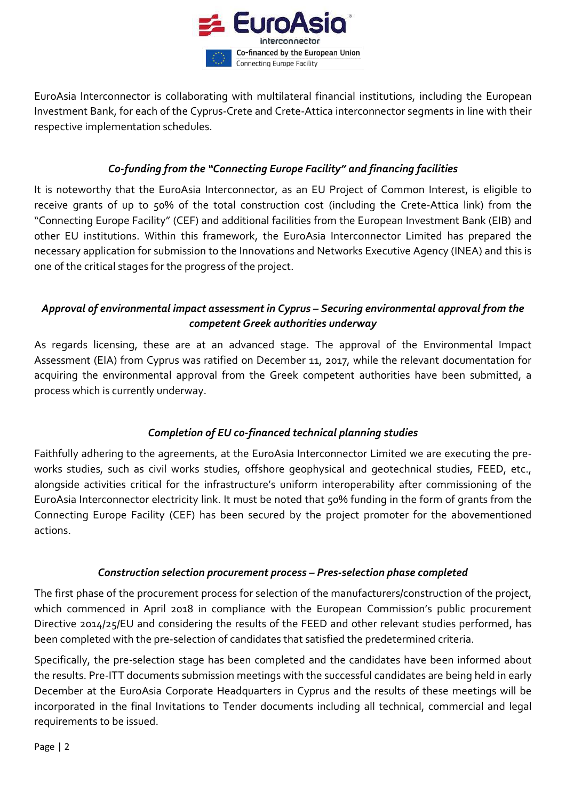

EuroAsia Interconnector is collaborating with multilateral financial institutions, including the European Investment Bank, for each of the Cyprus-Crete and Crete-Attica interconnector segments in line with their respective implementation schedules.

#### *Co-funding from the "Connecting Europe Facility" and financing facilities*

It is noteworthy that the EuroAsia Interconnector, as an EU Project of Common Interest, is eligible to receive grants of up to 50% of the total construction cost (including the Crete-Attica link) from the "Connecting Europe Facility" (CEF) and additional facilities from the European Investment Bank (EIB) and other EU institutions. Within this framework, the EuroAsia Interconnector Limited has prepared the necessary application for submission to the Innovations and Networks Executive Agency (INEA) and this is one of the critical stages for the progress of the project.

### *Approval of environmental impact assessment in Cyprus – Securing environmental approval from the competent Greek authorities underway*

As regards licensing, these are at an advanced stage. The approval of the Environmental Impact Assessment (EIA) from Cyprus was ratified on December 11, 2017, while the relevant documentation for acquiring the environmental approval from the Greek competent authorities have been submitted, a process which is currently underway.

#### *Completion of EU co-financed technical planning studies*

Faithfully adhering to the agreements, at the EuroAsia Interconnector Limited we are executing the preworks studies, such as civil works studies, offshore geophysical and geotechnical studies, FEED, etc., alongside activities critical for the infrastructure's uniform interoperability after commissioning of the EuroAsia Interconnector electricity link. It must be noted that 50% funding in the form of grants from the Connecting Europe Facility (CEF) has been secured by the project promoter for the abovementioned actions.

#### *Construction selection procurement process – Pres-selection phase completed*

The first phase of the procurement process for selection of the manufacturers/construction of the project, which commenced in April 2018 in compliance with the European Commission's public procurement Directive 2014/25/EU and considering the results of the FEED and other relevant studies performed, has been completed with the pre-selection of candidates that satisfied the predetermined criteria.

Specifically, the pre-selection stage has been completed and the candidates have been informed about the results. Pre-ITT documents submission meetings with the successful candidates are being held in early December at the EuroAsia Corporate Headquarters in Cyprus and the results of these meetings will be incorporated in the final Invitations to Tender documents including all technical, commercial and legal requirements to be issued.